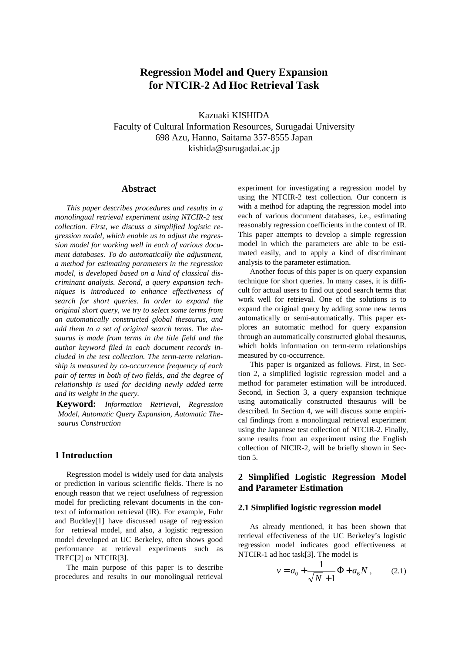# **Regression Model and Query Expansion for NTCIR-2 Ad Hoc Retrieval Task**

Kazuaki KISHIDA Faculty of Cultural Information Resources, Surugadai University 698 Azu, Hanno, Saitama 357-8555 Japan kishida@surugadai.ac.jp

#### **Abstract**

 *This paper describes procedures and results in a monolingual retrieval experiment using NTCIR-2 test collection. First, we discuss a simplified logistic regression model, which enable us to adjust the regression model for working well in each of various document databases. To do automatically the adjustment, a method for estimating parameters in the regression model, is developed based on a kind of classical discriminant analysis. Second, a query expansion techniques is introduced to enhance effectiveness of search for short queries. In order to expand the original short query, we try to select some terms from an automatically constructed global thesaurus, and add them to a set of original search terms. The thesaurus is made from terms in the title field and the author keyword filed in each document records included in the test collection. The term-term relationship is measured by co-occurrence frequency of each pair of terms in both of two fields, and the degree of relationship is used for deciding newly added term and its weight in the query.*

**Keyword:** *Information Retrieval, Regression Model, Automatic Query Expansion, Automatic Thesaurus Construction*

### **1 Introduction**

 Regression model is widely used for data analysis or prediction in various scientific fields. There is no enough reason that we reject usefulness of regression model for predicting relevant documents in the context of information retrieval (IR). For example, Fuhr and Buckley[1] have discussed usage of regression for retrieval model, and also, a logistic regression model developed at UC Berkeley, often shows good performance at retrieval experiments such as TREC[2] or NTCIR[3].

 The main purpose of this paper is to describe procedures and results in our monolingual retrieval experiment for investigating a regression model by using the NTCIR-2 test collection. Our concern is with a method for adapting the regression model into each of various document databases, i.e., estimating reasonably regression coefficients in the context of IR. This paper attempts to develop a simple regression model in which the parameters are able to be estimated easily, and to apply a kind of discriminant analysis to the parameter estimation.

 Another focus of this paper is on query expansion technique for short queries. In many cases, it is difficult for actual users to find out good search terms that work well for retrieval. One of the solutions is to expand the original query by adding some new terms automatically or semi-automatically. This paper explores an automatic method for query expansion through an automatically constructed global thesaurus, which holds information on term-term relationships measured by co-occurrence.

 This paper is organized as follows. First, in Section 2, a simplified logistic regression model and a method for parameter estimation will be introduced. Second, in Section 3, a query expansion technique using automatically constructed thesaurus will be described. In Section 4, we will discuss some empirical findings from a monolingual retrieval experiment using the Japanese test collection of NTCIR-2. Finally, some results from an experiment using the English collection of NICIR-2, will be briefly shown in Section 5.

### **2 Simplified Logistic Regression Model and Parameter Estimation**

#### **2.1 Simplified logistic regression model**

 As already mentioned, it has been shown that retrieval effectiveness of the UC Berkeley's logistic regression model indicates good effectiveness at NTCIR-1 ad hoc task[3]. The model is

$$
v = a_0 + \frac{1}{\sqrt{N} + 1} \Phi + a_6 N , \qquad (2.1)
$$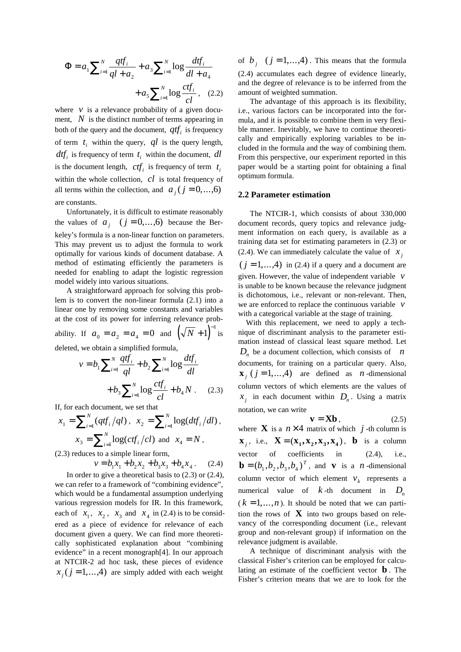$$
\Phi = a_1 \sum_{i=1}^{N} \frac{q t f_i}{q l + a_2} + a_3 \sum_{i=1}^{N} \log \frac{d t f_i}{d l + a_4} + a_5 \sum_{i=1}^{N} \log \frac{c t f_i}{c l}, \quad (2.2)
$$

where  $\nu$  is a relevance probability of a given document, *N* is the distinct number of terms appearing in both of the query and the document,  $qtf_i$  is frequency of term  $t_i$  within the query,  $ql$  is the query length,  $dt f_i$  is frequency of term  $t_i$  within the document,  $dl$ is the document length,  $ctf_i$  is frequency of term  $t_i$ within the whole collection, *cl* is total frequency of all terms within the collection, and  $a_j$  ( $j = 0,..., 6$ )

are constants.

 Unfortunately, it is difficult to estimate reasonably the values of  $a_j$   $(j = 0, \ldots, 6)$  because the Berkeley's formula is a non-linear function on parameters. This may prevent us to adjust the formula to work optimally for various kinds of document database. A method of estimating efficiently the parameters is needed for enabling to adapt the logistic regression model widely into various situations.

 A straightforward approach for solving this problem is to convert the non-linear formula (2.1) into a linear one by removing some constants and variables at the cost of its power for inferring relevance prob-

ability. If  $a_0 = a_2 = a_4 = 0$  and  $(\sqrt{N} + 1)^{-1}$  is

deleted, we obtain a simplified formula,

$$
v = b_1 \sum_{i=1}^{N} \frac{qtf_i}{ql} + b_2 \sum_{i=1}^{N} \log \frac{df_i}{dl}
$$

$$
+ b_3 \sum_{i=1}^{N} \log \frac{ctf_i}{cl} + b_4 N . \quad (2.3)
$$

If, for each document, we set that

$$
x_1 = \sum_{i=1}^{N} (qtf_i/ql), \ \ x_2 = \sum_{i=1}^{N} \log(dtf_i/dl),
$$

$$
x_3 = \sum_{i=1}^{N} \log(ctf_i/cl) \ \text{and} \ \ x_4 = N,
$$

(2.3) reduces to a simple linear form,

$$
v = b_1 x_1 + b_2 x_2 + b_3 x_3 + b_4 x_4. \tag{2.4}
$$

 In order to give a theoretical basis to (2.3) or (2.4), we can refer to a framework of "combining evidence", which would be a fundamental assumption underlying various regression models for IR. In this framework, each of  $x_1$ ,  $x_2$ ,  $x_3$  and  $x_4$  in (2.4) is to be considered as a piece of evidence for relevance of each document given a query. We can find more theoretically sophisticated explanation about "combining evidence" in a recent monograph[4]. In our approach at NTCIR-2 ad hoc task, these pieces of evidence  $x_i$  ( $j = 1,..., 4$ ) are simply added with each weight

of  $b_i$   $(j = 1, ..., 4)$ . This means that the formula (2.4) accumulates each degree of evidence linearly, and the degree of relevance is to be inferred from the amount of weighted summation.

 The advantage of this approach is its flexibility, i.e., various factors can be incorporated into the formula, and it is possible to combine them in very flexible manner. Inevitably, we have to continue theoretically and empirically exploring variables to be included in the formula and the way of combining them. From this perspective, our experiment reported in this paper would be a starting point for obtaining a final optimum formula.

#### **2.2 Parameter estimation**

 The NTCIR-1, which consists of about 330,000 document records, query topics and relevance judgment information on each query, is available as a training data set for estimating parameters in (2.3) or (2.4). We can immediately calculate the value of  $x_i$  $(j = 1, \ldots, 4)$  in (2.4) if a query and a document are given. However, the value of independent variable *v* is unable to be known because the relevance judgment is dichotomous, i.e., relevant or non-relevant. Then, we are enforced to replace the continuous variable *v* with a categorical variable at the stage of training.

 With this replacement, we need to apply a technique of discriminant analysis to the parameter estimation instead of classical least square method. Let  $D_n$  be a document collection, which consists of *n* documents, for training on a particular query. Also,  $\mathbf{x}_i$  ( $j = 1, ..., 4$ ) are defined as *n*-dimensional column vectors of which elements are the values of  $x_j$  in each document within  $D_n$ . Using a matrix notation, we can write

$$
\mathbf{v} = \mathbf{X}\mathbf{b} \,, \tag{2.5}
$$

where **X** is a  $n \times 4$  matrix of which *j* -th column is  $\mathbf{X}_i$ , i.e.,  $\mathbf{X} = (\mathbf{X}_1, \mathbf{X}_2, \mathbf{X}_3, \mathbf{X}_4)$ , **b** is a column vector of coefficients in (2.4), i.e.,  $\mathbf{b} = (b_1, b_2, b_3, b_4)^T$ , and **v** is a *n*-dimensional column vector of which element  $v_k$  represents a numerical value of  $k$ -th document in  $D_n$  $(k = 1, ..., n)$ . It should be noted that we can partition the rows of  $\bf{X}$  into two groups based on relevancy of the corresponding document (i.e., relevant group and non-relevant group) if information on the relevance judgment is available.

 A technique of discriminant analysis with the classical Fisher's criterion can be employed for calculating an estimate of the coefficient vector **b** . The Fisher's criterion means that we are to look for the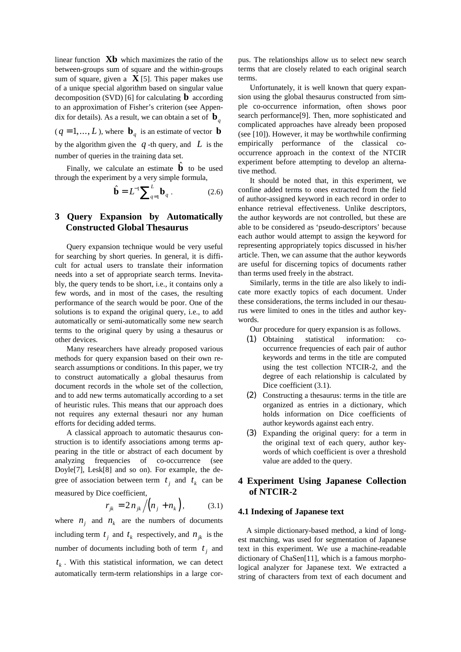linear function **Xb** which maximizes the ratio of the between-groups sum of square and the within-groups sum of square, given a  $\mathbf{X}$  [5]. This paper makes use of a unique special algorithm based on singular value decomposition (SVD) [6] for calculating **b** according to an approximation of Fisher's criterion (see Appendix for details). As a result, we can obtain a set of  $\mathbf{b}_q$ 

 $(q = 1, ..., L)$ , where  $\mathbf{b}_q$  is an estimate of vector **b** by the algorithm given the  $q$ -th query, and  $L$  is the number of queries in the training data set.

Finally, we calculate an estimate  $\hat{\mathbf{b}}$  to be used through the experiment by a very simple formula,

$$
\hat{\mathbf{b}} = L^{-1} \sum_{q=1}^{L} \mathbf{b}_q . \tag{2.6}
$$

# **3 Query Expansion by Automatically Constructed Global Thesaurus**

 Query expansion technique would be very useful for searching by short queries. In general, it is difficult for actual users to translate their information needs into a set of appropriate search terms. Inevitably, the query tends to be short, i.e., it contains only a few words, and in most of the cases, the resulting performance of the search would be poor. One of the solutions is to expand the original query, i.e., to add automatically or semi-automatically some new search terms to the original query by using a thesaurus or other devices.

 Many researchers have already proposed various methods for query expansion based on their own research assumptions or conditions. In this paper, we try to construct automatically a global thesaurus from document records in the whole set of the collection, and to add new terms automatically according to a set of heuristic rules. This means that our approach does not requires any external thesauri nor any human efforts for deciding added terms.

 A classical approach to automatic thesaurus construction is to identify associations among terms appearing in the title or abstract of each document by analyzing frequencies of co-occurrence (see Doyle[7], Lesk[8] and so on). For example, the degree of association between term  $t_i$  and  $t_k$  can be measured by Dice coefficient,

$$
r_{jk} = 2n_{jk} / (n_j + n_k), \qquad (3.1)
$$

where  $n_i$  and  $n_k$  are the numbers of documents including term  $t_i$  and  $t_k$  respectively, and  $n_{jk}$  is the number of documents including both of term  $t_i$  and  $t_k$ . With this statistical information, we can detect automatically term-term relationships in a large corpus. The relationships allow us to select new search terms that are closely related to each original search terms.

 Unfortunately, it is well known that query expansion using the global thesaurus constructed from simple co-occurrence information, often shows poor search performance[9]. Then, more sophisticated and complicated approaches have already been proposed (see [10]). However, it may be worthwhile confirming empirically performance of the classical cooccurrence approach in the context of the NTCIR experiment before attempting to develop an alternative method.

 It should be noted that, in this experiment, we confine added terms to ones extracted from the field of author-assigned keyword in each record in order to enhance retrieval effectiveness. Unlike descriptors, the author keywords are not controlled, but these are able to be considered as 'pseudo-descriptors' because each author would attempt to assign the keyword for representing appropriately topics discussed in his/her article. Then, we can assume that the author keywords are useful for discerning topics of documents rather than terms used freely in the abstract.

 Similarly, terms in the title are also likely to indicate more exactly topics of each document. Under these considerations, the terms included in our thesaurus were limited to ones in the titles and author keywords.

Our procedure for query expansion is as follows.

- (1) Obtaining statistical information: cooccurrence frequencies of each pair of author keywords and terms in the title are computed using the test collection NTCIR-2, and the degree of each relationship is calculated by Dice coefficient (3.1).
- (2) Constructing a thesaurus: terms in the title are organized as entries in a dictionary, which holds information on Dice coefficients of author keywords against each entry.
- (3) Expanding the original query: for a term in the original text of each query, author keywords of which coefficient is over a threshold value are added to the query.

# **4 Experiment Using Japanese Collection of NTCIR-2**

### **4.1 Indexing of Japanese text**

A simple dictionary-based method, a kind of longest matching, was used for segmentation of Japanese text in this experiment. We use a machine-readable dictionary of ChaSen[11], which is a famous morphological analyzer for Japanese text. We extracted a string of characters from text of each document and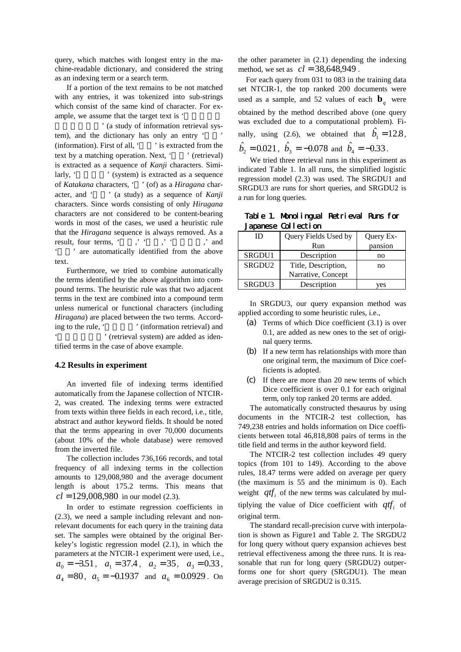query, which matches with longest entry in the machine-readable dictionary, and considered the string as an indexing term or a search term.

 If a portion of the text remains to be not matched with any entries, it was tokenized into sub-strings which consist of the same kind of character. For example, we assume that the target text is '

' (a study of information retrieval system), and the dictionary has only an entry ' (information). First of all,  $\cdot$   $\cdot$  is extracted from the text by a matching operation. Next, ' (retrieval) is extracted as a sequence of *Kanji* characters. Similarly, ' (system) is extracted as a sequence of *Katakana* characters, ' ' (of) as a *Hiragana* character, and ' ' (a study) as a sequence of *Kanji* characters. Since words consisting of only *Hiragana* characters are not considered to be content-bearing words in most of the cases, we used a heuristic rule that the *Hiragana* sequence is always removed. As a result, four terms, 'vert', 'vert', 'vert', 'and ' are automatically identified from the above text.

 Furthermore, we tried to combine automatically the terms identified by the above algorithm into compound terms. The heuristic rule was that two adjacent terms in the text are combined into a compound term unless numerical or functional characters (including *Hiragana*) are placed between the two terms. According to the rule, ' (information retrieval) and ' (retrieval system) are added as identified terms in the case of above example.

#### **4.2 Results in experiment**

 An inverted file of indexing terms identified automatically from the Japanese collection of NTCIR-2, was created. The indexing terms were extracted from texts within three fields in each record, i.e., title, abstract and author keyword fields. It should be noted that the terms appearing in over 70,000 documents (about 10% of the whole database) were removed from the inverted file.

 The collection includes 736,166 records, and total frequency of all indexing terms in the collection amounts to 129,008,980 and the average document length is about 175.2 terms. This means that  $cl = 129,008,980$  in our model (2.3).

 In order to estimate regression coefficients in (2.3), we need a sample including relevant and nonrelevant documents for each query in the training data set. The samples were obtained by the original Berkeley's logistic regression model (2.1), in which the parameters at the NTCIR-1 experiment were used, i.e.,  $a_0 = -3.51$ ,  $a_1 = 37.4$ ,  $a_2 = 35$ ,  $a_3 = 0.33$ ,  $a_4 = 80$ ,  $a_5 = -0.1937$  and  $a_6 = 0.0929$ . On

the other parameter in (2.1) depending the indexing method, we set as  $cl = 38,648,949$ .

 For each query from 031 to 083 in the training data set NTCIR-1, the top ranked 200 documents were used as a sample, and 52 values of each  $\mathbf{b}_q$  were obtained by the method described above (one query was excluded due to a computational problem). Finally, using (2.6), we obtained that  $\hat{b}_1 = 12.8$ ,  $\hat{b}_2 = 0.021$ ,  $\hat{b}_3 = -0.078$  and  $\hat{b}_4 = -0.33$ .

 We tried three retrieval runs in this experiment as indicated Table 1. In all runs, the simplified logistic regression model (2.3) was used. The SRGDU1 and SRGDU3 are runs for short queries, and SRGDU2 is a run for long queries.

Table 1. Monolingual Retrieval Runs for Japanese Collection

| ID     | Query Fields Used by | Query Ex- |
|--------|----------------------|-----------|
|        | Run                  | pansion   |
| SRGDU1 | Description          | no        |
| SRGDU2 | Title, Description,  | no        |
|        | Narrative, Concept   |           |
| SRGDU3 | Description          | ves       |

 In SRGDU3, our query expansion method was applied according to some heuristic rules, i.e.,

- (a) Terms of which Dice coefficient (3.1) is over 0.1, are added as new ones to the set of original query terms.
- (b) If a new term has relationships with more than one original term, the maximum of Dice coefficients is adopted.
- (c) If there are more than 20 new terms of which Dice coefficient is over 0.1 for each original term, only top ranked 20 terms are added.

 The automatically constructed thesaurus by using documents in the NTCIR-2 test collection, has 749,238 entries and holds information on Dice coefficients between total 46,818,808 pairs of terms in the title field and terms in the author keyword field.

 The NTCIR-2 test collection includes 49 query topics (from 101 to 149). According to the above rules, 18.47 terms were added on average per query (the maximum is 55 and the minimum is 0). Each weight  $qtf_i$  of the new terms was calculated by multiplying the value of Dice coefficient with  $qtf_i$  of original term.

 The standard recall-precision curve with interpolation is shown as Figure1 and Table 2. The SRGDU2 for long query without query expansion achieves best retrieval effectiveness among the three runs. It is reasonable that run for long query (SRGDU2) outperforms one for short query (SRGDU1). The mean average precision of SRGDU2 is 0.315.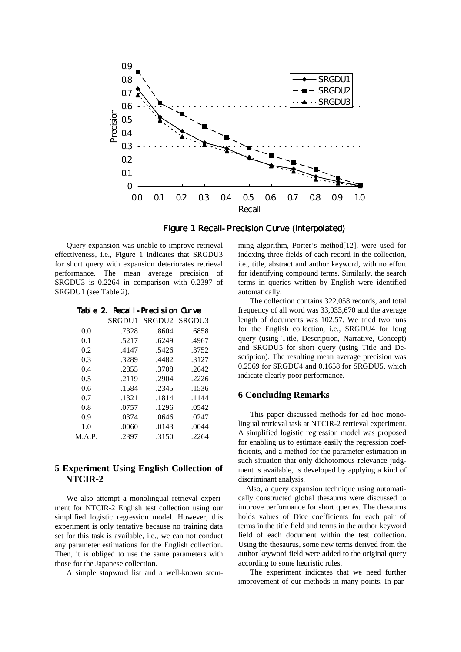



 Query expansion was unable to improve retrieval effectiveness, i.e., Figure 1 indicates that SRGDU3 for short query with expansion deteriorates retrieval performance. The mean average precision of SRGDU3 is 0.2264 in comparison with 0.2397 of SRGDU1 (see Table 2).

Table 2. Recall-Precision Curve

| <b>SRGDU1</b> | SRGDU2 | SRGDU3 |
|---------------|--------|--------|
| .7328         | .8604  | .6858  |
| .5217         | .6249  | .4967  |
| .4147         | .5426  | .3752  |
| .3289         | .4482  | .3127  |
| .2855         | .3708  | .2642  |
| .2119         | .2904  | .2226  |
| .1584         | .2345  | .1536  |
| .1321         | .1814  | .1144  |
| .0757         | .1296  | .0542  |
| .0374         | .0646  | .0247  |
| .0060         | .0143  | .0044  |
| .2397         | .3150  | .2264  |
|               |        |        |

## **5 Experiment Using English Collection of NTCIR-2**

 We also attempt a monolingual retrieval experiment for NTCIR-2 English test collection using our simplified logistic regression model. However, this experiment is only tentative because no training data set for this task is available, i.e., we can not conduct any parameter estimations for the English collection. Then, it is obliged to use the same parameters with those for the Japanese collection.

A simple stopword list and a well-known stem-

ming algorithm, Porter's method[12], were used for indexing three fields of each record in the collection, i.e., title, abstract and author keyword, with no effort for identifying compound terms. Similarly, the search terms in queries written by English were identified automatically.

 The collection contains 322,058 records, and total frequency of all word was 33,033,670 and the average length of documents was 102.57. We tried two runs for the English collection, i.e., SRGDU4 for long query (using Title, Description, Narrative, Concept) and SRGDU5 for short query (using Title and Description). The resulting mean average precision was 0.2569 for SRGDU4 and 0.1658 for SRGDU5, which indicate clearly poor performance.

### **6 Concluding Remarks**

 This paper discussed methods for ad hoc monolingual retrieval task at NTCIR-2 retrieval experiment. A simplified logistic regression model was proposed for enabling us to estimate easily the regression coefficients, and a method for the parameter estimation in such situation that only dichotomous relevance judgment is available, is developed by applying a kind of discriminant analysis.

 Also, a query expansion technique using automatically constructed global thesaurus were discussed to improve performance for short queries. The thesaurus holds values of Dice coefficients for each pair of terms in the title field and terms in the author keyword field of each document within the test collection. Using the thesaurus, some new terms derived from the author keyword field were added to the original query according to some heuristic rules.

 The experiment indicates that we need further improvement of our methods in many points. In par-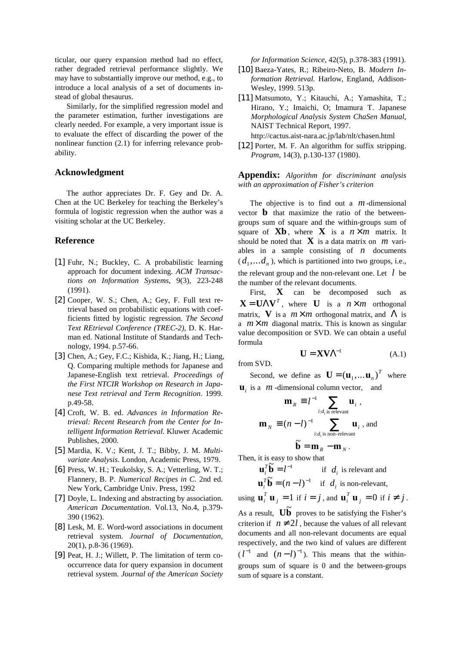ticular, our query expansion method had no effect, rather degraded retrieval performance slightly. We may have to substantially improve our method, e.g., to introduce a local analysis of a set of documents instead of global thesaurus.

 Similarly, for the simplified regression model and the parameter estimation, further investigations are clearly needed. For example, a very important issue is to evaluate the effect of discarding the power of the nonlinear function (2.1) for inferring relevance probability.

### **Acknowledgment**

 The author appreciates Dr. F. Gey and Dr. A. Chen at the UC Berkeley for teaching the Berkeley's formula of logistic regression when the author was a visiting scholar at the UC Berkeley.

### **Reference**

- [1] Fuhr, N.; Buckley, C. A probabilistic learning approach for document indexing. *ACM Transactions on Information Systems*, 9(3), 223-248 (1991).
- [2] Cooper, W. S.; Chen, A.; Gey, F. Full text retrieval based on probabilistic equations with coefficients fitted by logistic regression. *The Second Text REtrieval Conference (TREC-2)*, D. K. Harman ed. National Institute of Standards and Technology, 1994. p.57-66.
- [3] Chen, A.; Gey, F.C.; Kishida, K.; Jiang, H.; Liang, Q. Comparing multiple methods for Japanese and Japanese-English text retrieval. *Proceedings of the First NTCIR Workshop on Research in Japanese Text retrieval and Term Recognition*. 1999. p.49-58.
- [4] Croft, W. B. ed. *Advances in Information Retrieval: Recent Research from the Center for Intelligent Information Retrieval*. Kluwer Academic Publishes, 2000.
- [5] Mardia, K. V.; Kent, J. T.; Bibby, J. M. *Multivariate Analysis*. London, Academic Press, 1979.
- [6] Press, W. H.; Teukolsky, S. A.; Vetterling, W. T.; Flannery, B. P. *Numerical Recipes in C*. 2nd ed. New York, Cambridge Univ. Press, 1992
- [7] Doyle, L. Indexing and abstracting by association. *American Documentation*. Vol.13, No.4, p.379- 390 (1962).
- [8] Lesk, M. E. Word-word associations in document retrieval system. *Journal of Documentation*, 20(1), p.8-36 (1969).
- [9] Peat, H. J.; Willett, P. The limitation of term cooccurrence data for query expansion in document retrieval system. *Journal of the American Society*

*for Information Science*, 42(5), p.378-383 (1991).

- [10] Baeza-Yates, R.; Ribeiro-Neto, B. *Modern Information Retrieval.* Harlow, England, Addison-Wesley, 1999. 513p.
- [11] Matsumoto, Y.; Kitauchi, A.; Yamashita, T.; Hirano, Y.; Imaichi, O; Imamura T. Japanese *Morphological Analysis System ChaSen Manual*, NAIST Technical Report, 1997. http://cactus.aist-nara.ac.jp/lab/nlt/chasen.html
- [12] Porter, M. F. An algorithm for suffix stripping. *Program*, 14(3), p.130-137 (1980).

**Appendix:** *Algorithm for discriminant analysis with an approximation of Fisher's criterion*

 The objective is to find out a *m*-dimensional vector **b** that maximize the ratio of the betweengroups sum of square and the within-groups sum of square of  $Xb$ , where X is a  $n \times m$  matrix. It should be noted that  $\bf{X}$  is a data matrix on *m* variables in a sample consisting of *n* documents  $(d_1, \ldots, d_n)$ , which is partitioned into two groups, i.e., the relevant group and the non-relevant one. Let *l* be the number of the relevant documents.

 First, **X** can be decomposed such as  $\mathbf{X} = \mathbf{U}\boldsymbol{\Lambda}\mathbf{V}^T$ , where **U** is a  $n \times m$  orthogonal matrix, **V** is a  $m \times m$  orthogonal matrix, and  $\Lambda$  is a  $m \times m$  diagonal matrix. This is known as singular value decomposition or SVD. We can obtain a useful formula

$$
\mathbf{U} = \mathbf{X} \mathbf{V} \Lambda^{-1} \tag{A.1}
$$

from SVD.

Second, we define as  $\mathbf{U} = (\mathbf{u}_1, \dots \mathbf{u}_n)^T$  where **u**<sub>i</sub> is a *m*-dimensional column vector, and

$$
\mathbf{m}_R \equiv l^{-1} \sum_{i:d_i \text{ is relevant}} \mathbf{u}_i ,
$$

$$
\mathbf{m}_N \equiv (n-l)^{-1} \sum_{i:d_i \text{ is non-relevant}} \mathbf{u}_i , \text{ and}
$$

$$
\widetilde{\mathbf{b}} = \mathbf{m}_R - \mathbf{m}_N .
$$

Then, it is easy to show that

$$
\mathbf{u}_i^T \widetilde{\mathbf{b}} = l^{-1} \quad \text{if } d_i \text{ is relevant and}
$$
  

$$
\mathbf{u}_i^T \widetilde{\mathbf{b}} = (n-l)^{-1} \quad \text{if } d_i \text{ is non-relevant,}
$$

using  $\mathbf{u}_i^T \mathbf{u}_j = 1$  if  $i = j$ , and  $\mathbf{u}_i^T \mathbf{u}_j = 0$  if  $i \neq j$ .

As a result.  $\mathbf{U}\mathbf{\tilde{b}}$  proves to be satisfying the Fisher's criterion if  $n \neq 2l$ , because the values of all relevant documents and all non-relevant documents are equal respectively, and the two kind of values are different  $(l^{-1}$  and  $(n-l)^{-1}$ ). This means that the withingroups sum of square is 0 and the between-groups sum of square is a constant.